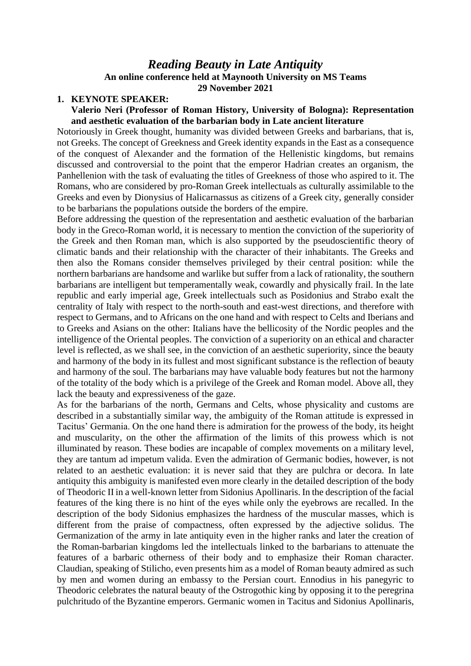# *Reading Beauty in Late Antiquity* **An online conference held at Maynooth University on MS Teams 29 November 2021**

#### **1. KEYNOTE SPEAKER:**

#### **Valerio Neri (Professor of Roman History, University of Bologna): Representation and aesthetic evaluation of the barbarian body in Late ancient literature**

Notoriously in Greek thought, humanity was divided between Greeks and barbarians, that is, not Greeks. The concept of Greekness and Greek identity expands in the East as a consequence of the conquest of Alexander and the formation of the Hellenistic kingdoms, but remains discussed and controversial to the point that the emperor Hadrian creates an organism, the Panhellenion with the task of evaluating the titles of Greekness of those who aspired to it. The Romans, who are considered by pro-Roman Greek intellectuals as culturally assimilable to the Greeks and even by Dionysius of Halicarnassus as citizens of a Greek city, generally consider to be barbarians the populations outside the borders of the empire.

Before addressing the question of the representation and aesthetic evaluation of the barbarian body in the Greco-Roman world, it is necessary to mention the conviction of the superiority of the Greek and then Roman man, which is also supported by the pseudoscientific theory of climatic bands and their relationship with the character of their inhabitants. The Greeks and then also the Romans consider themselves privileged by their central position: while the northern barbarians are handsome and warlike but suffer from a lack of rationality, the southern barbarians are intelligent but temperamentally weak, cowardly and physically frail. In the late republic and early imperial age, Greek intellectuals such as Posidonius and Strabo exalt the centrality of Italy with respect to the north-south and east-west directions, and therefore with respect to Germans, and to Africans on the one hand and with respect to Celts and Iberians and to Greeks and Asians on the other: Italians have the bellicosity of the Nordic peoples and the intelligence of the Oriental peoples. The conviction of a superiority on an ethical and character level is reflected, as we shall see, in the conviction of an aesthetic superiority, since the beauty and harmony of the body in its fullest and most significant substance is the reflection of beauty and harmony of the soul. The barbarians may have valuable body features but not the harmony of the totality of the body which is a privilege of the Greek and Roman model. Above all, they lack the beauty and expressiveness of the gaze.

As for the barbarians of the north, Germans and Celts, whose physicality and customs are described in a substantially similar way, the ambiguity of the Roman attitude is expressed in Tacitus' Germania. On the one hand there is admiration for the prowess of the body, its height and muscularity, on the other the affirmation of the limits of this prowess which is not illuminated by reason. These bodies are incapable of complex movements on a military level, they are tantum ad impetum valida. Even the admiration of Germanic bodies, however, is not related to an aesthetic evaluation: it is never said that they are pulchra or decora. In late antiquity this ambiguity is manifested even more clearly in the detailed description of the body of Theodoric II in a well-known letter from Sidonius Apollinaris. In the description of the facial features of the king there is no hint of the eyes while only the eyebrows are recalled. In the description of the body Sidonius emphasizes the hardness of the muscular masses, which is different from the praise of compactness, often expressed by the adjective solidus. The Germanization of the army in late antiquity even in the higher ranks and later the creation of the Roman-barbarian kingdoms led the intellectuals linked to the barbarians to attenuate the features of a barbaric otherness of their body and to emphasize their Roman character. Claudian, speaking of Stilicho, even presents him as a model of Roman beauty admired as such by men and women during an embassy to the Persian court. Ennodius in his panegyric to Theodoric celebrates the natural beauty of the Ostrogothic king by opposing it to the peregrina pulchritudo of the Byzantine emperors. Germanic women in Tacitus and Sidonius Apollinaris,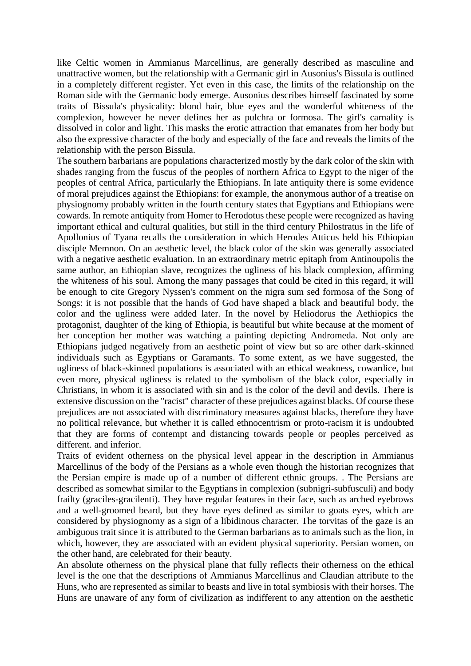like Celtic women in Ammianus Marcellinus, are generally described as masculine and unattractive women, but the relationship with a Germanic girl in Ausonius's Bissula is outlined in a completely different register. Yet even in this case, the limits of the relationship on the Roman side with the Germanic body emerge. Ausonius describes himself fascinated by some traits of Bissula's physicality: blond hair, blue eyes and the wonderful whiteness of the complexion, however he never defines her as pulchra or formosa. The girl's carnality is dissolved in color and light. This masks the erotic attraction that emanates from her body but also the expressive character of the body and especially of the face and reveals the limits of the relationship with the person Bissula.

The southern barbarians are populations characterized mostly by the dark color of the skin with shades ranging from the fuscus of the peoples of northern Africa to Egypt to the niger of the peoples of central Africa, particularly the Ethiopians. In late antiquity there is some evidence of moral prejudices against the Ethiopians: for example, the anonymous author of a treatise on physiognomy probably written in the fourth century states that Egyptians and Ethiopians were cowards. In remote antiquity from Homer to Herodotus these people were recognized as having important ethical and cultural qualities, but still in the third century Philostratus in the life of Apollonius of Tyana recalls the consideration in which Herodes Atticus held his Ethiopian disciple Memnon. On an aesthetic level, the black color of the skin was generally associated with a negative aesthetic evaluation. In an extraordinary metric epitaph from Antinoupolis the same author, an Ethiopian slave, recognizes the ugliness of his black complexion, affirming the whiteness of his soul. Among the many passages that could be cited in this regard, it will be enough to cite Gregory Nyssen's comment on the nigra sum sed formosa of the Song of Songs: it is not possible that the hands of God have shaped a black and beautiful body, the color and the ugliness were added later. In the novel by Heliodorus the Aethiopics the protagonist, daughter of the king of Ethiopia, is beautiful but white because at the moment of her conception her mother was watching a painting depicting Andromeda. Not only are Ethiopians judged negatively from an aesthetic point of view but so are other dark-skinned individuals such as Egyptians or Garamants. To some extent, as we have suggested, the ugliness of black-skinned populations is associated with an ethical weakness, cowardice, but even more, physical ugliness is related to the symbolism of the black color, especially in Christians, in whom it is associated with sin and is the color of the devil and devils. There is extensive discussion on the "racist" character of these prejudices against blacks. Of course these prejudices are not associated with discriminatory measures against blacks, therefore they have no political relevance, but whether it is called ethnocentrism or proto-racism it is undoubted that they are forms of contempt and distancing towards people or peoples perceived as different. and inferior.

Traits of evident otherness on the physical level appear in the description in Ammianus Marcellinus of the body of the Persians as a whole even though the historian recognizes that the Persian empire is made up of a number of different ethnic groups. . The Persians are described as somewhat similar to the Egyptians in complexion (subnigri-subfusculi) and body frailty (graciles-gracilenti). They have regular features in their face, such as arched eyebrows and a well-groomed beard, but they have eyes defined as similar to goats eyes, which are considered by physiognomy as a sign of a libidinous character. The torvitas of the gaze is an ambiguous trait since it is attributed to the German barbarians as to animals such as the lion, in which, however, they are associated with an evident physical superiority. Persian women, on the other hand, are celebrated for their beauty.

An absolute otherness on the physical plane that fully reflects their otherness on the ethical level is the one that the descriptions of Ammianus Marcellinus and Claudian attribute to the Huns, who are represented as similar to beasts and live in total symbiosis with their horses. The Huns are unaware of any form of civilization as indifferent to any attention on the aesthetic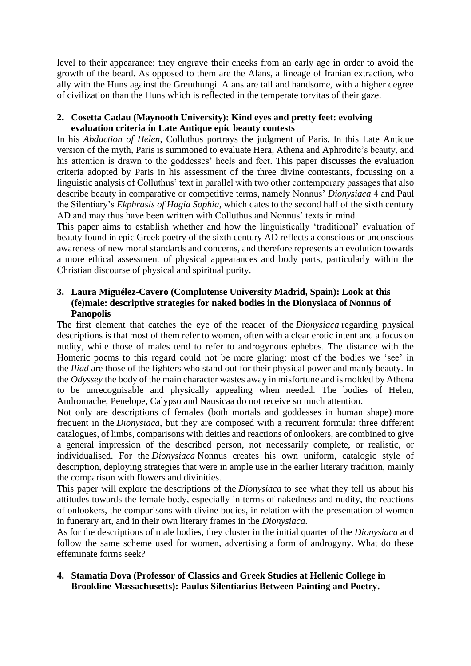level to their appearance: they engrave their cheeks from an early age in order to avoid the growth of the beard. As opposed to them are the Alans, a lineage of Iranian extraction, who ally with the Huns against the Greuthungi. Alans are tall and handsome, with a higher degree of civilization than the Huns which is reflected in the temperate torvitas of their gaze.

# **2. Cosetta Cadau (Maynooth University): Kind eyes and pretty feet: evolving evaluation criteria in Late Antique epic beauty contests**

In his *Abduction of Helen*, Colluthus portrays the judgment of Paris. In this Late Antique version of the myth, Paris is summoned to evaluate Hera, Athena and Aphrodite's beauty, and his attention is drawn to the goddesses' heels and feet. This paper discusses the evaluation criteria adopted by Paris in his assessment of the three divine contestants, focussing on a linguistic analysis of Colluthus' text in parallel with two other contemporary passages that also describe beauty in comparative or competitive terms, namely Nonnus' *Dionysiaca* 4 and Paul the Silentiary's *Ekphrasis of Hagia Sophia*, which dates to the second half of the sixth century AD and may thus have been written with Colluthus and Nonnus' texts in mind.

This paper aims to establish whether and how the linguistically 'traditional' evaluation of beauty found in epic Greek poetry of the sixth century AD reflects a conscious or unconscious awareness of new moral standards and concerns, and therefore represents an evolution towards a more ethical assessment of physical appearances and body parts, particularly within the Christian discourse of physical and spiritual purity.

# **3. Laura Miguélez-Cavero (Complutense University Madrid, Spain): Look at this (fe)male: descriptive strategies for naked bodies in the Dionysiaca of Nonnus of Panopolis**

The first element that catches the eye of the reader of the *Dionysiaca* regarding physical descriptions is that most of them refer to women, often with a clear erotic intent and a focus on nudity, while those of males tend to refer to androgynous ephebes. The distance with the Homeric poems to this regard could not be more glaring: most of the bodies we 'see' in the *Iliad* are those of the fighters who stand out for their physical power and manly beauty. In the *Odyssey* the body of the main character wastes away in misfortune and is molded by Athena to be unrecognisable and physically appealing when needed. The bodies of Helen, Andromache, Penelope, Calypso and Nausicaa do not receive so much attention.

Not only are descriptions of females (both mortals and goddesses in human shape) more frequent in the *Dionysiaca*, but they are composed with a recurrent formula: three different catalogues, of limbs, comparisons with deities and reactions of onlookers, are combined to give a general impression of the described person, not necessarily complete, or realistic, or individualised. For the *Dionysiaca* Nonnus creates his own uniform, catalogic style of description, deploying strategies that were in ample use in the earlier literary tradition, mainly the comparison with flowers and divinities.

This paper will explore the descriptions of the *Dionysiaca* to see what they tell us about his attitudes towards the female body, especially in terms of nakedness and nudity, the reactions of onlookers, the comparisons with divine bodies, in relation with the presentation of women in funerary art, and in their own literary frames in the *Dionysiaca*.

As for the descriptions of male bodies, they cluster in the initial quarter of the *Dionysiaca* and follow the same scheme used for women, advertising a form of androgyny. What do these effeminate forms seek?

# **4. Stamatia Dova (Professor of Classics and Greek Studies at Hellenic College in Brookline Massachusetts): Paulus Silentiarius Between Painting and Poetry.**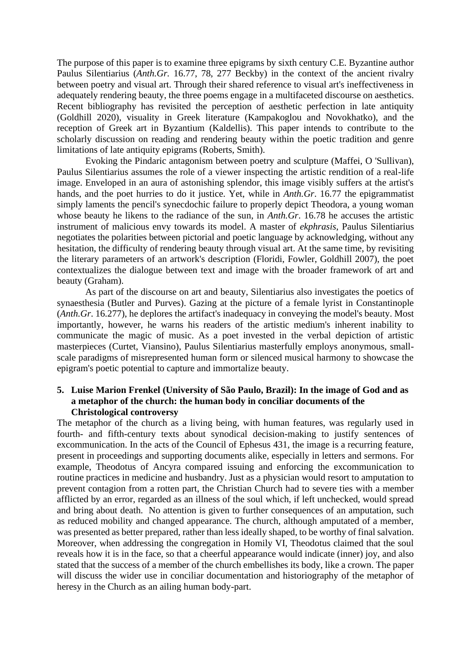The purpose of this paper is to examine three epigrams by sixth century C.E. Byzantine author Paulus Silentiarius (*Anth.Gr.* 16.77, 78, 277 Beckby) in the context of the ancient rivalry between poetry and visual art. Through their shared reference to visual art's ineffectiveness in adequately rendering beauty, the three poems engage in a multifaceted discourse on aesthetics. Recent bibliography has revisited the perception of aesthetic perfection in late antiquity (Goldhill 2020), visuality in Greek literature (Kampakoglou and Novokhatko), and the reception of Greek art in Byzantium (Kaldellis). This paper intends to contribute to the scholarly discussion on reading and rendering beauty within the poetic tradition and genre limitations of late antiquity epigrams (Roberts, Smith).

Evoking the Pindaric antagonism between poetry and sculpture (Maffei, O 'Sullivan), Paulus Silentiarius assumes the role of a viewer inspecting the artistic rendition of a real-life image. Enveloped in an aura of astonishing splendor, this image visibly suffers at the artist's hands, and the poet hurries to do it justice. Yet, while in *Anth.Gr*. 16.77 the epigrammatist simply laments the pencil's synecdochic failure to properly depict Theodora, a young woman whose beauty he likens to the radiance of the sun, in *Anth.Gr*. 16.78 he accuses the artistic instrument of malicious envy towards its model. A master of *ekphrasis*, Paulus Silentiarius negotiates the polarities between pictorial and poetic language by acknowledging, without any hesitation, the difficulty of rendering beauty through visual art. At the same time, by revisiting the literary parameters of an artwork's description (Floridi, Fowler, Goldhill 2007), the poet contextualizes the dialogue between text and image with the broader framework of art and beauty (Graham).

As part of the discourse on art and beauty, Silentiarius also investigates the poetics of synaesthesia (Butler and Purves). Gazing at the picture of a female lyrist in Constantinople (*Anth.Gr*. 16.277), he deplores the artifact's inadequacy in conveying the model's beauty. Most importantly, however, he warns his readers of the artistic medium's inherent inability to communicate the magic of music. As a poet invested in the verbal depiction of artistic masterpieces (Curtet, Viansino), Paulus Silentiarius masterfully employs anonymous, smallscale paradigms of misrepresented human form or silenced musical harmony to showcase the epigram's poetic potential to capture and immortalize beauty.

#### **5. Luise Marion Frenkel (University of São Paulo, Brazil): In the image of God and as a metaphor of the church: the human body in conciliar documents of the Christological controversy**

The metaphor of the church as a living being, with human features, was regularly used in fourth- and fifth-century texts about synodical decision-making to justify sentences of excommunication. In the acts of the Council of Ephesus 431, the image is a recurring feature, present in proceedings and supporting documents alike, especially in letters and sermons. For example, Theodotus of Ancyra compared issuing and enforcing the excommunication to routine practices in medicine and husbandry. Just as a physician would resort to amputation to prevent contagion from a rotten part, the Christian Church had to severe ties with a member afflicted by an error, regarded as an illness of the soul which, if left unchecked, would spread and bring about death. No attention is given to further consequences of an amputation, such as reduced mobility and changed appearance. The church, although amputated of a member, was presented as better prepared, rather than less ideally shaped, to be worthy of final salvation. Moreover, when addressing the congregation in Homily VI, Theodotus claimed that the soul reveals how it is in the face, so that a cheerful appearance would indicate (inner) joy, and also stated that the success of a member of the church embellishes its body, like a crown. The paper will discuss the wider use in conciliar documentation and historiography of the metaphor of heresy in the Church as an ailing human body-part.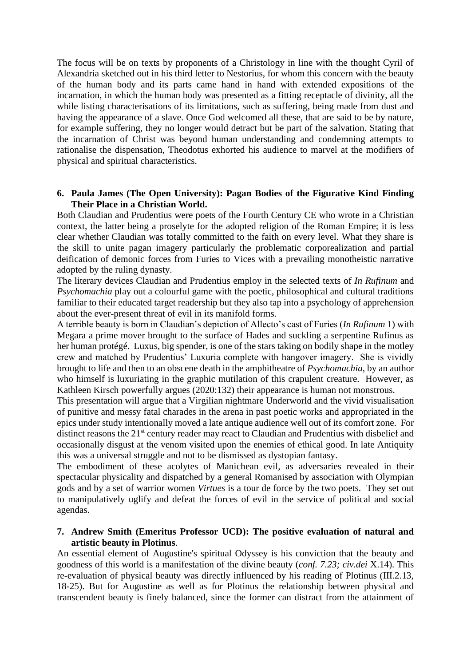The focus will be on texts by proponents of a Christology in line with the thought Cyril of Alexandria sketched out in his third letter to Nestorius, for whom this concern with the beauty of the human body and its parts came hand in hand with extended expositions of the incarnation, in which the human body was presented as a fitting receptacle of divinity, all the while listing characterisations of its limitations, such as suffering, being made from dust and having the appearance of a slave. Once God welcomed all these, that are said to be by nature, for example suffering, they no longer would detract but be part of the salvation. Stating that the incarnation of Christ was beyond human understanding and condemning attempts to rationalise the dispensation, Theodotus exhorted his audience to marvel at the modifiers of physical and spiritual characteristics.

#### **6. Paula James (The Open University): Pagan Bodies of the Figurative Kind Finding Their Place in a Christian World.**

Both Claudian and Prudentius were poets of the Fourth Century CE who wrote in a Christian context, the latter being a proselyte for the adopted religion of the Roman Empire; it is less clear whether Claudian was totally committed to the faith on every level. What they share is the skill to unite pagan imagery particularly the problematic corporealization and partial deification of demonic forces from Furies to Vices with a prevailing monotheistic narrative adopted by the ruling dynasty.

The literary devices Claudian and Prudentius employ in the selected texts of *In Rufinum* and *Psychomachia* play out a colourful game with the poetic, philosophical and cultural traditions familiar to their educated target readership but they also tap into a psychology of apprehension about the ever-present threat of evil in its manifold forms.

A terrible beauty is born in Claudian's depiction of Allecto's cast of Furies (*In Rufinum* 1) with Megara a prime mover brought to the surface of Hades and suckling a serpentine Rufinus as her human protégé. Luxus, big spender, is one of the stars taking on bodily shape in the motley crew and matched by Prudentius' Luxuria complete with hangover imagery. She is vividly brought to life and then to an obscene death in the amphitheatre of *Psychomachia,* by an author who himself is luxuriating in the graphic mutilation of this crapulent creature. However, as Kathleen Kirsch powerfully argues (2020:132) their appearance is human not monstrous.

This presentation will argue that a Virgilian nightmare Underworld and the vivid visualisation of punitive and messy fatal charades in the arena in past poetic works and appropriated in the epics under study intentionally moved a late antique audience well out of its comfort zone. For distinct reasons the 21<sup>st</sup> century reader may react to Claudian and Prudentius with disbelief and occasionally disgust at the venom visited upon the enemies of ethical good. In late Antiquity this was a universal struggle and not to be dismissed as dystopian fantasy.

The embodiment of these acolytes of Manichean evil, as adversaries revealed in their spectacular physicality and dispatched by a general Romanised by association with Olympian gods and by a set of warrior women *Virtues* is a tour de force by the two poets. They set out to manipulatively uglify and defeat the forces of evil in the service of political and social agendas.

## **7. Andrew Smith (Emeritus Professor UCD): The positive evaluation of natural and artistic beauty in Plotinus**.

An essential element of Augustine's spiritual Odyssey is his conviction that the beauty and goodness of this world is a manifestation of the divine beauty (*conf. 7.23; civ.dei* X.14). This re-evaluation of physical beauty was directly influenced by his reading of Plotinus (III.2.13, 18-25). But for Augustine as well as for Plotinus the relationship between physical and transcendent beauty is finely balanced, since the former can distract from the attainment of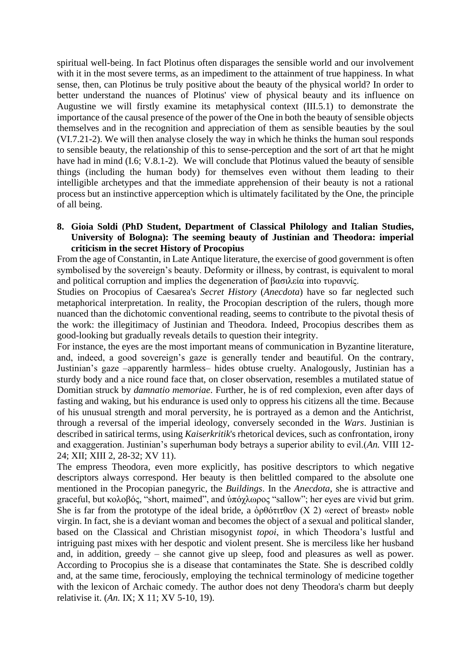spiritual well-being. In fact Plotinus often disparages the sensible world and our involvement with it in the most severe terms, as an impediment to the attainment of true happiness. In what sense, then, can Plotinus be truly positive about the beauty of the physical world? In order to better understand the nuances of Plotinus' view of physical beauty and its influence on Augustine we will firstly examine its metaphysical context (III.5.1) to demonstrate the importance of the causal presence of the power of the One in both the beauty of sensible objects themselves and in the recognition and appreciation of them as sensible beauties by the soul (VI.7.21-2). We will then analyse closely the way in which he thinks the human soul responds to sensible beauty, the relationship of this to sense-perception and the sort of art that he might have had in mind (I.6; V.8.1-2). We will conclude that Plotinus valued the beauty of sensible things (including the human body) for themselves even without them leading to their intelligible archetypes and that the immediate apprehension of their beauty is not a rational process but an instinctive apperception which is ultimately facilitated by the One, the principle of all being.

### **8. Gioia Soldi (PhD Student, Department of Classical Philology and Italian Studies, University of Bologna): The seeming beauty of Justinian and Theodora: imperial criticism in the secret History of Procopius**

From the age of Constantin, in Late Antique literature, the exercise of good government is often symbolised by the sovereign's beauty. Deformity or illness, by contrast, is equivalent to moral and political corruption and implies the degeneration of βασιλεία into τυραννίς.

Studies on Procopius of Caesarea's *Secret History* (*Anecdota*) have so far neglected such metaphorical interpretation. In reality, the Procopian description of the rulers, though more nuanced than the dichotomic conventional reading, seems to contribute to the pivotal thesis of the work: the illegitimacy of Justinian and Theodora. Indeed, Procopius describes them as good-looking but gradually reveals details to question their integrity.

For instance, the eyes are the most important means of communication in Byzantine literature, and, indeed, a good sovereign's gaze is generally tender and beautiful. On the contrary, Justinian's gaze –apparently harmless– hides obtuse cruelty. Analogously, Justinian has a sturdy body and a nice round face that, on closer observation, resembles a mutilated statue of Domitian struck by *damnatio memoriae*. Further, he is of red complexion, even after days of fasting and waking, but his endurance is used only to oppress his citizens all the time. Because of his unusual strength and moral perversity, he is portrayed as a demon and the Antichrist, through a reversal of the imperial ideology, conversely seconded in the *Wars*. Justinian is described in satirical terms, using *Kaiserkritik*'s rhetorical devices, such as confrontation, irony and exaggeration. Justinian's superhuman body betrays a superior ability to evil.(*An.* VIII 12- 24; XII; XIII 2, 28-32; XV 11).

The empress Theodora, even more explicitly, has positive descriptors to which negative descriptors always correspond. Her beauty is then belittled compared to the absolute one mentioned in the Procopian panegyric, the *Buildings*. In the *Anecdota*, she is attractive and graceful, but κολοβός, "short, maimed", and ὑπόχλωρος "sallow"; her eyes are vivid but grim. She is far from the prototype of the ideal bride, a  $\phi \theta \phi \sigma \tau \tau \theta$  (X 2) «erect of breast» noble virgin. In fact, she is a deviant woman and becomes the object of a sexual and political slander, based on the Classical and Christian misogynist *topoi*, in which Theodora's lustful and intriguing past mixes with her despotic and violent present. She is merciless like her husband and, in addition, greedy – she cannot give up sleep, food and pleasures as well as power. According to Procopius she is a disease that contaminates the State. She is described coldly and, at the same time, ferociously, employing the technical terminology of medicine together with the lexicon of Archaic comedy. The author does not deny Theodora's charm but deeply relativise it. (*An.* IX; X 11; XV 5-10, 19).